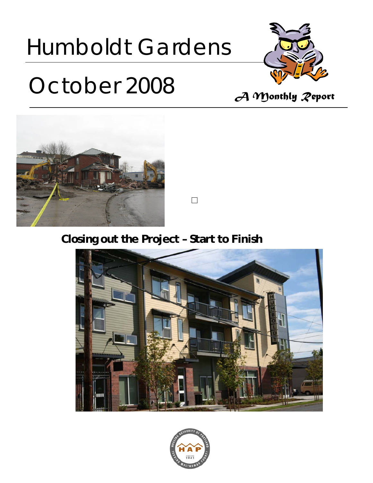# Humboldt Gardens



# *October 2008 A Monthly Report*



 $\Box$ 

# **Closing out the Project – Start to Finish**



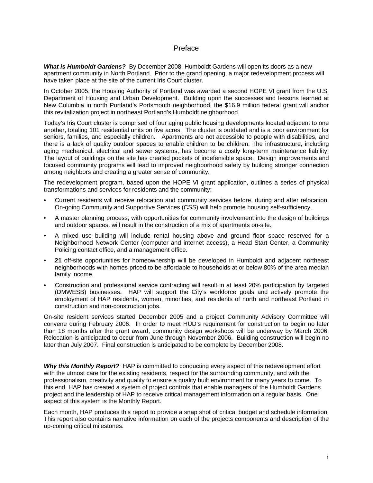#### Preface

*What is Humboldt Gardens?* By December 2008, Humboldt Gardens will open its doors as a new apartment community in North Portland. Prior to the grand opening, a major redevelopment process will have taken place at the site of the current Iris Court cluster.

In October 2005, the Housing Authority of Portland was awarded a second HOPE VI grant from the U.S. Department of Housing and Urban Development. Building upon the successes and lessons learned at New Columbia in north Portland's Portsmouth neighborhood, the \$16.9 million federal grant will anchor this revitalization project in northeast Portland's Humboldt neighborhood.

Today's Iris Court cluster is comprised of four aging public housing developments located adjacent to one another, totaling 101 residential units on five acres. The cluster is outdated and is a poor environment for seniors, families, and especially children. Apartments are not accessible to people with disabilities, and there is a lack of quality outdoor spaces to enable children to be children. The infrastructure, including aging mechanical, electrical and sewer systems, has become a costly long-term maintenance liability. The layout of buildings on the site has created pockets of indefensible space. Design improvements and focused community programs will lead to improved neighborhood safety by building stronger connection among neighbors and creating a greater sense of community.

The redevelopment program, based upon the HOPE VI grant application, outlines a series of physical transformations and services for residents and the community:

- Current residents will receive relocation and community services before, during and after relocation. On-going Community and Supportive Services (CSS) will help promote housing self-sufficiency.
- A master planning process, with opportunities for community involvement into the design of buildings and outdoor spaces, will result in the construction of a mix of apartments on-site.
- A mixed use building will include rental housing above and ground floor space reserved for a Neighborhood Network Center (computer and internet access), a Head Start Center, a Community Policing contact office, and a management office.
- **21** off-site opportunities for homeownership will be developed in Humboldt and adjacent northeast neighborhoods with homes priced to be affordable to households at or below 80% of the area median family income.
- Construction and professional service contracting will result in at least 20% participation by targeted (DMWESB) businesses. HAP will support the City's workforce goals and actively promote the employment of HAP residents, women, minorities, and residents of north and northeast Portland in construction and non-construction jobs.

On-site resident services started December 2005 and a project Community Advisory Committee will convene during February 2006. In order to meet HUD's requirement for construction to begin no later than 18 months after the grant award, community design workshops will be underway by March 2006. Relocation is anticipated to occur from June through November 2006. Building construction will begin no later than July 2007. Final construction is anticipated to be complete by December 2008.

*Why this Monthly Report?* HAP is committed to conducting every aspect of this redevelopment effort with the utmost care for the existing residents, respect for the surrounding community, and with the professionalism, creativity and quality to ensure a quality built environment for many years to come. To this end, HAP has created a system of project controls that enable managers of the Humboldt Gardens project and the leadership of HAP to receive critical management information on a regular basis. One aspect of this system is the Monthly Report.

Each month, HAP produces this report to provide a snap shot of critical budget and schedule information. This report also contains narrative information on each of the projects components and description of the up-coming critical milestones.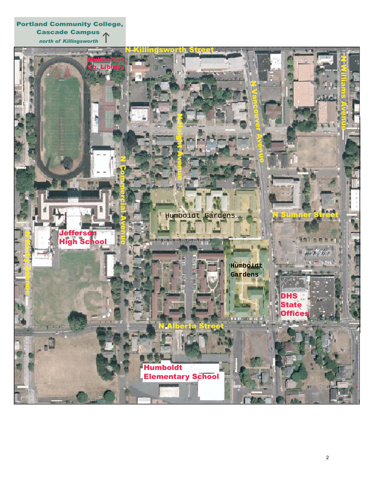Portland Community College, **Cascade Campus**<br> **Cascade Campus** 

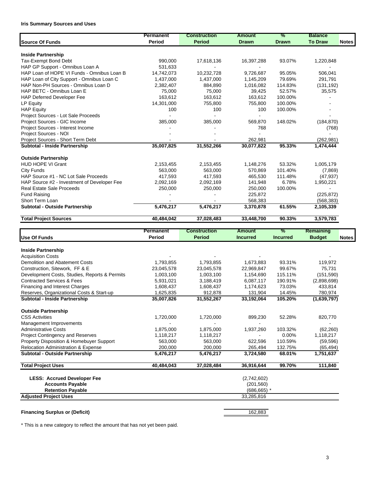#### **Iris Summary Sources and Uses**

|                                             | <b>Permanent</b> | <b>Construction</b> | <b>Amount</b> | %            | <b>Balance</b> |              |
|---------------------------------------------|------------------|---------------------|---------------|--------------|----------------|--------------|
| <b>Source Of Funds</b>                      | Period           | <b>Period</b>       | <b>Drawn</b>  | <b>Drawn</b> | <b>To Draw</b> | <b>Notes</b> |
| <b>Inside Partnership</b>                   |                  |                     |               |              |                |              |
| Tax-Exempt Bond Debt                        | 990,000          | 17,618,136          | 16,397,288    | 93.07%       | 1,220,848      |              |
| HAP GP Support - Omnibus Loan A             | 531.633          |                     |               |              |                |              |
| HAP Loan of HOPE VI Funds - Omnibus Loan B  | 14,742,073       | 10,232,728          | 9,726,687     | 95.05%       | 506,041        |              |
| HAP Loan of City Support - Omnibus Loan C   | 1,437,000        | 1,437,000           | 1,145,209     | 79.69%       | 291,791        |              |
| HAP Non-PH Sources - Omnibus Loan D         | 2,382,407        | 884,890             | 1,016,082     | 114.83%      | (131, 192)     |              |
| HAP BETC - Omnibus Loan E                   | 75,000           | 75,000              | 39,425        | 52.57%       | 35,575         |              |
| <b>HAP Deferred Developer Fee</b>           | 163,612          | 163,612             | 163,612       | 100.00%      |                |              |
| LP Equity                                   | 14,301,000       | 755,800             | 755.800       | 100.00%      |                |              |
| <b>HAP Equity</b>                           | 100              | 100                 | 100           | 100.00%      |                |              |
| Project Sources - Lot Sale Proceeds         |                  |                     |               |              |                |              |
| Project Sources - GIC Income                | 385,000          | 385,000             | 569.870       | 148.02%      | (184, 870)     |              |
| Project Sources - Interest Income           |                  |                     | 768           |              | (768)          |              |
| Project Sources - NOI                       |                  |                     |               |              |                |              |
| Project Sources - Short Term Debt           |                  |                     | 262,981       |              | (262, 981)     |              |
| Subtotal - Inside Partnership               | 35,007,825       | 31,552,266          | 30,077,822    | 95.33%       | 1,474,444      |              |
| <b>Outside Partnership</b>                  |                  |                     |               |              |                |              |
| <b>HUD HOPE VI Grant</b>                    | 2,153,455        | 2,153,455           | 1,148,276     | 53.32%       | 1,005,179      |              |
| <b>City Funds</b>                           | 563,000          | 563,000             | 570,869       | 101.40%      | (7,869)        |              |
| HAP Source #1 - NC Lot Sale Proceeds        | 417,593          | 417,593             | 465,530       | 111.48%      | (47, 937)      |              |
| HAP Source #2 - Investment of Developer Fee | 2,092,169        | 2,092,169           | 141,948       | 6.78%        | 1,950,221      |              |
| <b>Real Estate Sale Proceeds</b>            | 250,000          | 250,000             | 250,000       | 100.00%      |                |              |
| <b>Fund Raising</b>                         |                  |                     | 225,872       |              | (225, 872)     |              |
| Short Term Loan                             |                  |                     | 568,383       |              | (568, 383)     |              |
| Subtotal - Outside Partnership              | 5,476,217        | 5,476,217           | 3,370,878     | 61.55%       | 2,105,339      |              |
| <b>Total Project Sources</b>                | 40,484,042       | 37,028,483          | 33,448,700    | 90.33%       | 3,579,783      |              |

|                                                | <b>Permanent</b> | <b>Construction</b> | <b>Amount</b>   | %               | Remaining     |              |
|------------------------------------------------|------------------|---------------------|-----------------|-----------------|---------------|--------------|
| <b>Use Of Funds</b>                            | <b>Period</b>    | <b>Period</b>       | <b>Incurred</b> | <b>Incurred</b> | <b>Budget</b> | <b>Notes</b> |
| <b>Inside Partnership</b>                      |                  |                     |                 |                 |               |              |
| <b>Acquisition Costs</b>                       |                  |                     |                 |                 |               |              |
| Demolition and Abatement Costs                 | 1,793,855        | 1,793,855           | 1,673,883       | 93.31%          | 119,972       |              |
| Construction, Sitework, FF & E                 | 23,045,578       | 23,045,578          | 22,969,847      | 99.67%          | 75,731        |              |
| Development Costs, Studies, Reports & Permits  | 1,003,100        | 1,003,100           | 1,154,690       | 115.11%         | (151, 590)    |              |
| <b>Contracted Services &amp; Fees</b>          | 5,931,021        | 3,188,419           | 6,087,117       | 190.91%         | (2,898,698)   |              |
| Financing and Interest Charges                 | 1,608,437        | 1,608,437           | 1,174,623       | 73.03%          | 433,814       |              |
| Reserves, Organizational Costs & Start-up      | 1,625,835        | 912,878             | 131,904         | 14.45%          | 780,974       |              |
| Subtotal - Inside Partnership                  | 35,007,826       | 31,552,267          | 33,192,064      | 105.20%         | (1,639,797)   |              |
| <b>Outside Partnership</b>                     |                  |                     |                 |                 |               |              |
| <b>CSS Activities</b>                          | 1,720,000        | 1,720,000           | 899,230         | 52.28%          | 820,770       |              |
| Management Improvements                        |                  |                     |                 |                 |               |              |
| <b>Administrative Costs</b>                    | 1,875,000        | 1,875,000           | 1,937,260       | 103.32%         | (62, 260)     |              |
| <b>Project Contingency and Reserves</b>        | 1,118,217        | 1,118,217           |                 | 0.00%           | 1,118,217     |              |
| Property Disposition & Homebuyer Support       | 563,000          | 563,000             | 622,596         | 110.59%         | (59, 596)     |              |
| <b>Relocation Administration &amp; Expense</b> | 200,000          | 200,000             | 265,494         | 132.75%         | (65, 494)     |              |
| Subtotal - Outside Partnership                 | 5,476,217        | 5,476,217           | 3,724,580       | 68.01%          | 1,751,637     |              |
| <b>Total Project Uses</b>                      | 40,484,043       | 37,028,484          | 36,916,644      | 99.70%          | 111,840       |              |
| <b>LESS: Accrued Developer Fee</b>             |                  |                     | (2,742,602)     |                 |               |              |
| <b>Accounts Payable</b>                        |                  |                     | (201, 560)      |                 |               |              |
| <b>Retention Payable</b>                       |                  |                     | $(686, 665)$ *  |                 |               |              |
| <b>Adjusted Project Uses</b>                   |                  |                     | 33,285,816      |                 |               |              |
|                                                |                  |                     |                 |                 |               |              |

#### **Financing Surplus or (Deficit)** 162,883

\* This is a new category to reflect the amount that has not yet been paid.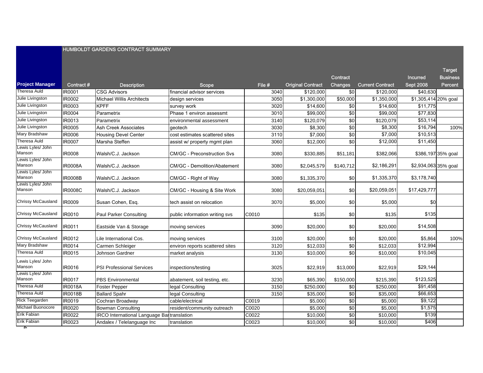|                             |                |                                                   |                                     |        |                          | <b>Incurred</b> | <b>Business</b>          |                      |                    |
|-----------------------------|----------------|---------------------------------------------------|-------------------------------------|--------|--------------------------|-----------------|--------------------------|----------------------|--------------------|
| <b>Project Manager</b>      | Contract #     | <b>Description</b>                                | <b>Scope</b>                        | File # | <b>Original Contract</b> | <b>Changes</b>  | <b>Current Contract</b>  | <b>Sept 2008</b>     | <b>Percent</b>     |
| Theresa Auld                | IR0001         | <b>CSG Advisors</b>                               | financial advisor services          | 3040   | \$120,000                | $\sqrt{6}$      | \$120,000                | \$40,630             |                    |
| Julie Livingston            | IR0002         | <b>Michael Willis Architects</b>                  | design services                     | 3050   | \$1,300,000              | \$50,000        | $\overline{\$1,350,000}$ | \$1,305,414 20% goal |                    |
| Julie Livingston            | IR0003         | <b>KPFF</b>                                       | survey work                         | 3020   | \$14,600                 | \$0             | \$14,600                 | \$11,775             |                    |
| Julie Livingston            | <b>IR0004</b>  | Parametrix                                        | Phase 1 environ assessmt            | 3010   | \$99,000                 | $\sqrt{6}$      | \$99,000                 | \$77,830             |                    |
| Julie Livingston            | IR0013         | Parametrix                                        | environmental assessment            | 3140   | \$120,079                | \$0             | \$120,079                | \$53,114             |                    |
| Julie Livingston            | IR0005         | Ash Creek Associates                              | geotech                             | 3030   | \$8,300                  | \$0             | \$8,300                  | \$16,794             | 100%               |
| Mary Bradshaw               | IR0006         | <b>Housing Devel Center</b>                       | cost estimates scattered sites      | 3110   | \$7,000                  | $\frac{6}{3}$   | \$7,000                  | \$10,513             |                    |
| <b>Theresa Auld</b>         | <b>IR0007</b>  | Marsha Steffen                                    | assist w/ property mgmt plan        | 3060   | \$12,000                 | \$0             | \$12,000                 | \$11,450             |                    |
| Lewis Lyles/ John<br>Manson | <b>IR0008</b>  | Walsh/C.J. Jackson                                | <b>CM/GC - Preconstruction Svs</b>  | 3080   | \$330,885                | \$51,181        | \$382,066                |                      | \$386,197 35% goal |
| Lewis Lyles/ John<br>Manson | <b>IR0008A</b> | Walsh/C.J. Jackson                                | <b>CM/GC - Demolition/Abatement</b> | 3080   | \$2,045,579              | \$140,712       | \$2,186,291              | \$2,934,063 35% goal |                    |
| Lewis Lyles/ John<br>Manson | <b>IR0008B</b> | Walsh/C.J. Jackson                                | CM/GC - Right of Way                | 3080   | \$1,335,370              | \$0             | \$1,335,370              | \$3,178,740          |                    |
| Lewis Lyles/ John<br>Manson | <b>IR0008C</b> | Walsh/C.J. Jackson                                | CM/GC - Housing & Site Work         | 3080   | \$20,059,051             | \$0             | \$20,059,051             | \$17,429,777         |                    |
| <b>Chrissy McCausland</b>   | <b>IR0009</b>  | Susan Cohen, Esq.                                 | tech assist on relocation           | 3070   | \$5,000                  | \$0             | \$5,000                  | \$0                  |                    |
| <b>Chrissy McCausland</b>   | IR0010         | Paul Parker Consulting                            | public information writing svs      | C0010  | \$135                    | \$0             | \$135                    | \$135                |                    |
| <b>Chrissy McCausland</b>   | IR0011         | Eastside Van & Storage                            | moving services                     | 3090   | \$20,000                 | \$0             | \$20,000                 | \$14,508             |                    |
| Chrissy McCausland          | IR0012         | Lile International Cos.                           | moving services                     | 3100   | \$20,000                 | \$0             | \$20,000                 | \$5,864              | 100%               |
| Mary Bradshaw               | IR0014         | Carmen Schleiger                                  | environ reports scattered sites     | 3120   | \$12,033                 | $\sqrt{6}$      | \$12,033                 | \$12,994             |                    |
| <b>Theresa Auld</b>         | IR0015         | Johnson Gardner                                   | market analysis                     | 3130   | \$10,000                 | \$0             | \$10,000                 | \$10,045             |                    |
| Lewis Lyles/ John<br>Manson | IR0016         | <b>PSI Professional Services</b>                  | inspections/testing                 | 3025   | \$22,919                 | \$13,000        | \$22,919                 | \$29,144             |                    |
| Lewis Lyles/ John<br>Manson | <b>IR0017</b>  | <b>PBS Environmental</b>                          | abatement, soil testing, etc.       | 3230   | \$65,390                 | \$150,000       | \$215,390                | \$123,525            |                    |
| <b>Theresa Auld</b>         | <b>IR0018A</b> | <b>Foster Pepper</b>                              | legal Consulting                    | 3150   | \$250,000                | \$0             | \$250,000                | \$91,458             |                    |
| <b>Theresa Auld</b>         | <b>IR0018B</b> | <b>Ballard Spahr</b>                              | legal Consulting                    | 3150   | \$35,000                 | \$0             | \$35,000                 | \$66,653             |                    |
| <b>Rick Teegarden</b>       | IR0019         | Cochran Broadway                                  | cable/electrical                    | C0019  | \$5,000                  | \$0             | \$5,000                  | \$9,122              |                    |
| Michael Buonocore           | IR0020         | <b>Bowman Consulting</b>                          | resident/community outreach         | C0020  | \$5,000                  | \$0             | \$5,000                  | \$1,575              |                    |
| Erik Fabian                 | IR0022         | <b>IRCO</b> International Language Bartranslation |                                     | C0022  | \$10,000                 | $\sqrt{6}$      | \$10,000                 | \$139                |                    |
| Erik Fabian                 | IR0023         | Andalex / Telelanguage Inc                        | translation                         | C0023  | \$10,000                 | \$0             | \$10,000                 | \$406                |                    |

Target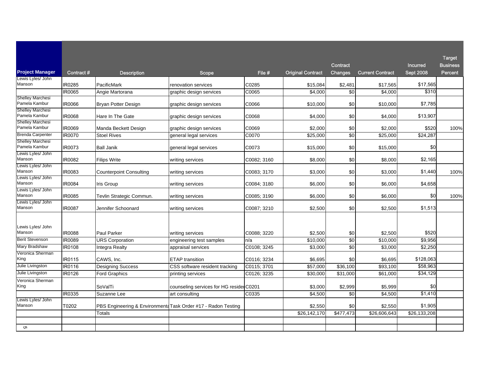|                                          |               |                                                               |                                          |             |                          |                |                         |                  | <b>Target</b>   |
|------------------------------------------|---------------|---------------------------------------------------------------|------------------------------------------|-------------|--------------------------|----------------|-------------------------|------------------|-----------------|
|                                          |               |                                                               |                                          |             |                          | Contract       |                         | <b>Incurred</b>  | <b>Business</b> |
| <b>Project Manager</b>                   | Contract#     | <b>Description</b>                                            | <b>Scope</b>                             | Fie#        | <b>Original Contract</b> | <b>Changes</b> | <b>Current Contract</b> | <b>Sept 2008</b> | <b>Percent</b>  |
| Lewis Lyles/ John<br>Manson              | IR0285        | PacificMark                                                   | renovation services                      | C0285       | \$15,084                 | \$2,481        | \$17,565                | \$17,565         |                 |
|                                          | IR0065        | Angie Martorana                                               | graphic design services                  | C0065       | \$4,000                  |                | \$4,000                 | \$310            |                 |
| <b>Shelley Marchesi</b><br>Pamela Kambur | IR0066        | Bryan Potter Design                                           | graphic design services                  | C0066       | \$10,000                 | \$0            | \$10,000                | \$7,785          |                 |
| <b>Shelley Marchesi</b><br>Pamela Kambur | <b>IR0068</b> | Hare In The Gate                                              | graphic design services                  | C0068       | \$4,000                  | \$0            | \$4,000                 | \$13,907         |                 |
| <b>Shelley Marchesi</b><br>Pamela Kambur | IR0069        | Manda Beckett Design                                          | graphic design services                  | C0069       | \$2,000                  | \$0            | \$2,000                 | \$520            | 100%            |
| <b>Brenda Carpenter</b>                  | IR0070        | <b>Stoel Rives</b>                                            | general legal services                   | C0070       | \$25,000                 | \$0            | \$25,000                | \$24,287         |                 |
| Shelley Marchesi<br>Pamela Kambur        | IR0073        | <b>Ball Janik</b>                                             | general legal services                   | C0073       | \$15,000                 | \$0            | \$15,000                | \$0              |                 |
| Lewis Lyles/ John<br>Manson              | IR0082        | <b>Filips Write</b>                                           | writing services                         | C0082; 3160 | \$8,000                  | \$0            | \$8,000                 | \$2,165          |                 |
| Lewis Lyles/ John<br>Manson              | IR0083        | <b>Counterpoint Consulting</b>                                | writing services                         | C0083; 3170 | \$3,000                  | \$0            | \$3,000                 | \$1,440          | 100%            |
| Lewis Lyles/ John<br>Manson              | IR0084        | Iris Group                                                    | writing services                         | C0084; 3180 | \$6,000                  | \$0            | \$6,000                 | \$4,658          |                 |
| Lewis Lyles/ John<br>Manson              | IR0085        | Tevlin Strategic Commun.                                      | writing services                         | C0085: 3190 | \$6,000                  | \$0            | \$6,000                 | \$0              | 100%            |
| Lewis Lyles/ John<br>Manson              | IR0087        | Jennifer Schoonard                                            | writing services                         | C0087; 3210 | \$2,500                  | \$0            | \$2,500                 | \$1,513          |                 |
| Lewis Lyles/ John<br>Manson              | <b>IR0088</b> | Paul Parker                                                   | writing services                         | C0088; 3220 | \$2,500                  | \$0            | \$2,500                 | \$520            |                 |
| <b>Berit Stevenson</b>                   | IR0089        | <b>URS Corporation</b>                                        | engineering test samples                 | n/a         | \$10,000                 | $\sqrt{6}$     | \$10,000                | \$9,956          |                 |
| Mary Bradshaw                            | IR0108        | Integra Realty                                                | appraisal services                       | C0108; 3245 | \$3,000                  | \$0            | \$3,000                 | \$2,250          |                 |
| Veronica Sherman<br>King                 | IR0115        | CAWS. Inc.                                                    | <b>ETAP</b> transition                   | C0116; 3234 | \$6,695                  | \$0            | \$6,695                 | \$128,063        |                 |
| Julie Livingston                         | IR0116        | <b>Designing Success</b>                                      | CSS software resident tracking           | C0115; 3701 | \$57,000                 | \$36,100       | \$93,100                | \$58,963         |                 |
| Julie Livingston                         | IR0126        | <b>Ford Graphics</b>                                          | printing services                        | C0126; 3235 | \$30,000                 | \$31,000       | \$61,000                | \$34,129         |                 |
| Veronica Sherman<br>King                 |               | SoValTi                                                       | counseling services for HG resider C0201 |             | \$3,000                  | \$2,999        | \$5,999                 | \$0              |                 |
|                                          | IR0335        | Suzanne Lee                                                   | art consulting                           | C0335       | \$4,500                  | \$0            | \$4,500                 | \$1,410          |                 |
| Lewis Lyles/ John<br>Manson              | T0202         | PBS Engineering & Environmenta Task Order #17 - Radon Testing |                                          |             | \$2,550                  | \$0            | \$2,550                 | \$1,905          |                 |
|                                          |               | Totals                                                        |                                          |             | \$26,142,170             | \$477,473      | \$26,606,643            | \$26,133,208     |                 |
|                                          |               |                                                               |                                          |             |                          |                |                         |                  |                 |
| ຕາ                                       |               |                                                               |                                          |             |                          |                |                         |                  |                 |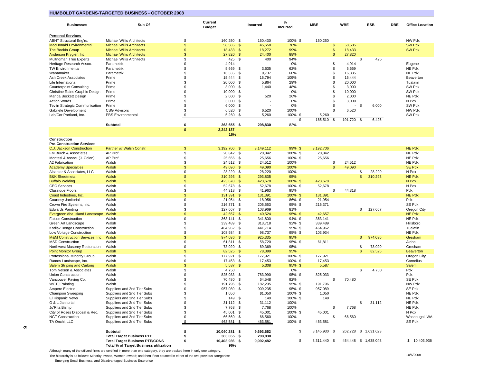#### **HUMBOLDT GARDENS-TARGETED BUSINESS - OCTOBER 2008**

| <b>Businesses</b>                                 | Sub Of                                                                          |                    | <b>Current</b><br><b>Budget</b> |                             | Incurred           | %<br>Incurred   | <b>MBE</b>         |           | <b>WBE</b>       |              | <b>ESB</b>           | DBE | <b>Office Location</b>  |
|---------------------------------------------------|---------------------------------------------------------------------------------|--------------------|---------------------------------|-----------------------------|--------------------|-----------------|--------------------|-----------|------------------|--------------|----------------------|-----|-------------------------|
| <b>Personal Services</b>                          |                                                                                 |                    |                                 |                             |                    |                 |                    |           |                  |              |                      |     |                         |
| <b>ABHT Structural Eng'rs.</b>                    | <b>Michael Willis Architects</b>                                                | \$                 | 160,250 \$                      |                             | 160,430            | 100% \$         | 160,250            |           |                  |              |                      |     | NW Pdx                  |
| <b>MacDonald Environmental</b>                    | <b>Michael Willis Architects</b>                                                | \$                 | 58,585                          | $\mathbf{\$}$               | 45,658             | 78%             |                    | \$        | 58,585           |              |                      |     | <b>SW Pdx</b>           |
| <b>The Bookin Group</b><br>Anderson Krygier, Inc. | <b>Michael Willis Architects</b>                                                | \$<br>\$           | 18,433                          | $\sqrt{2}$<br>$\mathbf{\$}$ | 18,272             | 99%             |                    | \$        | 18,433           |              |                      |     | <b>SW Pdx</b>           |
| Multnomah Tree Experts                            | <b>Michael Willis Architects</b><br>Michael Willis Architects                   | \$                 | 27,820<br>425                   | - \$                        | 24,400<br>400      | 88%<br>94%      |                    | \$        | 27,820           | \$           | 425                  |     |                         |
| Heritage Research Assoc.                          | Parametrix                                                                      | \$                 | 4,914                           |                             |                    | 0%              |                    | \$        | 4,914            |              |                      |     | Eugene                  |
| TW Environmental                                  | Parametrix                                                                      | \$                 | 5,669                           | \$                          | 3,535              | 62%             |                    | \$        | 5,669            |              |                      |     | NE Pdx                  |
| Wanamaker                                         | Parametrix                                                                      | \$                 | 16,335                          | \$                          | 9,737              | 60%             |                    | \$        | 16,335           |              |                      |     | NE Pdx                  |
| Ash Creek Associates                              | Prime                                                                           | \$                 | 15,444                          | \$                          | 16,794             | 109%            |                    | \$        | 15,444           |              |                      |     | Beaverton               |
| Lile International                                | Prime                                                                           | \$                 | 20,000                          | \$                          | 5,864              | 29%             |                    | \$        | 20,000           |              |                      |     | Tualatin                |
| <b>Counterpoint Consulting</b>                    | Prime                                                                           | \$                 | 3,000                           | \$                          | 1,440              | 48%             |                    | \$        | 3,000            |              |                      |     | SW Pdx                  |
| Christine Rains Graphic Design                    | Prime                                                                           | \$                 | 10,000                          | \$                          |                    | 0%              |                    | \$        | 10,000           |              |                      |     | SW Pdx                  |
| Manda Beckett Design                              | Prime                                                                           | \$                 | 2,000                           | \$                          | 520                | 26%             |                    | \$        | 2,000            |              |                      |     | NE Pdx                  |
| <b>Action Words</b>                               | Prime                                                                           | \$                 | 3,000                           | \$                          |                    | 0%              |                    | \$.       | 3,000            |              |                      |     | N Pdx                   |
| Tevlin Strategic Communication                    | Prime                                                                           | \$<br>\$           | 6,000                           | \$                          |                    | 0%              |                    | \$<br>\$. |                  | \$           | 6,000                |     | SW Pdx                  |
| Gabriele Development<br>Lab/Cor Portland, Inc.    | <b>CSG Advisors</b><br><b>PBS</b> Environmental                                 | \$                 | 6,520<br>5,260                  | \$<br>\$                    | 6,520<br>5,260     | 100%<br>100% \$ | 5,260              |           | 6,520            |              |                      |     | NW Pdx<br>SW Pdx        |
|                                                   |                                                                                 |                    |                                 |                             |                    | \$              | 165,510            | \$        | 191,720          | \$           | 6,425                |     |                         |
|                                                   | Subtotal                                                                        | $\overline{\cdot}$ | 363,655 \$                      |                             | 298,830            | 82%             |                    |           |                  |              |                      |     |                         |
|                                                   |                                                                                 | \$                 | 2,242,137                       |                             |                    |                 |                    |           |                  |              |                      |     |                         |
| Construction                                      |                                                                                 |                    | 16%                             |                             |                    |                 |                    |           |                  |              |                      |     |                         |
| <b>Pre-Construction Services</b>                  |                                                                                 |                    |                                 |                             |                    |                 |                    |           |                  |              |                      |     |                         |
| <b>C.J. Jackson Construction</b>                  | Partner w/ Walsh Constr.                                                        | $\mathfrak{s}$     | 3,192,706<br>- \$               |                             | 3,149,112          | 99%\$           | 3.192.706          |           |                  |              |                      |     | <b>NE Pdx</b>           |
| FM Burch & Associates                             | AP Prof                                                                         | \$                 | 20,842                          | \$                          | 20,842             | 100% \$         | 20,842             |           |                  |              |                      |     | NE Pdx                  |
| Montesi & Assoc. (J. Colon)                       | AP Prof                                                                         | \$                 | 25,656                          | \$                          | 25,656             | 100% \$         | 25,656             |           |                  |              |                      |     | NE Pdx                  |
| A2 Fabrication                                    | Walsh<br>Walsh                                                                  | \$<br>\$           | 24,512<br>49,090                | \$<br>$\sqrt{2}$            | 24,512<br>49,090   | 100%<br>100%    |                    | \$<br>\$  | 24,512<br>49,090 |              |                      |     | NE Pdx<br><b>SE Pdx</b> |
| Academy Specialties<br>Alcantar & Associates, LLC | Walsh                                                                           | \$                 | 28,220                          | \$                          | 28,220             | 100%            |                    |           |                  | \$           | 28,220               |     | N Pdx                   |
| <b>B&amp;K Sheetmetal</b>                         | Walsh                                                                           | \$                 | 310,293                         | \$                          | 293,835            | 95%             |                    |           |                  | \$           | 310,293              |     | NE Pdx                  |
| <b>Buffalo Welding</b>                            | Walsh                                                                           | \$                 | 423,678                         | \$                          | 423,678            | 100% \$         | 423,678            |           |                  |              |                      |     | N Pdx                   |
| <b>CEC Services</b>                               | Walsh                                                                           | \$                 | 52,678                          | \$                          | 52,678             | 100% \$         | 52,678             |           |                  |              |                      |     | N Pdx                   |
| Classique Floors                                  | Walsh                                                                           | \$                 | 44,318                          | \$                          | 41,963             | 95%             |                    | \$        | 44,318           |              |                      |     | Pdx                     |
| Coast Industries, Inc.                            | Walsh                                                                           | \$                 | 131,391                         | $\sqrt{2}$                  | 131,391            | 100% \$         | 131,391            |           |                  |              |                      |     | <b>NE Pdx</b>           |
| Courtesy Janitorial                               | Walsh                                                                           | \$                 | 21,954                          | \$                          | 18,956             | 86% \$          | 21,954             |           |                  |              |                      |     | Pdx                     |
| Crown Fire Systems, Inc.                          | Walsh                                                                           | \$                 | 216,371                         | \$                          | 205,553            | 95%\$           | 216,371            |           |                  |              |                      |     | SE Pdx                  |
| <b>Edwards Painting</b>                           | Walsh                                                                           | \$                 | 127,667                         | \$                          | 103,969            | 81%             |                    |           |                  | \$           | 127,667              |     | Oregon City             |
| Evergreen dba Island Landscape                    | Walsh                                                                           | \$<br>\$           | 42,657                          | $\sqrt[6]{3}$               | 40,524             | 95% \$          | 42,657             |           |                  |              |                      |     | <b>NE Pdx</b>           |
| <b>Faison Construction</b><br>Green Art Landscape | Walsh<br>Walsh                                                                  | \$                 | 363,141<br>339,489              | \$<br>\$                    | 341,800<br>313,718 | 94% \$<br>92%\$ | 363,141<br>339,489 |           |                  |              |                      |     | NE Pdx<br>Hillsboro     |
| Kodiak Benge Construction                         | Walsh                                                                           | \$                 | 464,962                         | \$                          | 441,714            | 95%\$           | 464,962            |           |                  |              |                      |     | Tualatin                |
| Low Voltage Construction                          | Walsh                                                                           | \$                 | 103,934                         | \$                          | 98,737             | 95%\$           | 103,934            |           |                  |              |                      |     | NE Pdx                  |
| <b>M&amp;M Construction Services, Inc.</b>        | Walsh                                                                           | \$                 | 974,036                         | $\mathbf{\$}$               | 925,335            | 95%             |                    |           |                  | \$           | 974,036              |     | Gresham                 |
| <b>MSD Construction</b>                           | Walsh                                                                           | \$                 | 61,811 \$                       |                             | 58,720             | 95%\$           | 61,811             |           |                  |              |                      |     | Aloha                   |
| Northwest Masonry Restoration                     | Walsh                                                                           | \$                 | 73,020                          | \$                          | 69,369             | 95%             |                    |           |                  | \$           | 73,020               |     | Gresham                 |
| <b>Point Monitor Group</b>                        | Walsh                                                                           | \$                 | 82,525                          | $\mathbb{S}$                | 78,399             | 95%             |                    |           |                  | $\mathsf{s}$ | 82,525               |     | <b>Beaverton</b>        |
| Professional Minority Group                       | Walsh                                                                           | \$                 | 177,921                         | \$                          | 177,921            | 100% \$         | 177,921            |           |                  |              |                      |     | Oregon City             |
| Ramos Landscape, Inc.                             | Walsh                                                                           | \$                 | 17,453                          | \$                          | 17,453             | 100% \$         | 17,453             |           |                  |              |                      |     | Cornelius               |
| <b>Salem Striping and Curbing</b>                 | Walsh                                                                           | \$                 | 5,587                           | $\sqrt[6]{3}$               | 5,308              | 95% \$          | 5,587              |           |                  |              |                      |     | Salem                   |
| Tom Nelson & Associates<br>Union Construction     | Walsh<br>Walsh                                                                  | \$<br>\$           | 4,750<br>825,033                | \$                          | 783,990            | 0%<br>95%\$     | 825,033            |           |                  | \$           | 4,750                |     | Pdx<br>Pdx              |
| Vancouver Paving Co.                              | Walsh                                                                           | \$                 | 70,480                          | \$                          | 64,548             | 92%             |                    | \$        | 70,480           |              |                      |     | SE Pdx                  |
| <b>WCTJ Painting</b>                              | Walsh                                                                           | \$                 | 191,796                         | \$                          | 182,205            | 95%\$           | 191,796            |           |                  |              |                      |     | NW Pdx                  |
| Ampere Electric                                   | Suppliers and 2nd Tier Subs                                                     | \$                 | 957,089<br>\$                   |                             | 909,235            | 95%\$           | 957,089            |           |                  |              |                      |     | SE Pdx                  |
| <b>Champion Sweeping</b>                          | Suppliers and 2nd Tier Subs                                                     | \$                 | 1,050                           |                             | \$1,050            | 100%\$          | 1,050              |           |                  |              |                      |     | NE Pdx                  |
| El Hispanic News                                  | Suppliers and 2nd Tier Subs                                                     | \$                 | 149 \$                          |                             | 149                | 100% \$         | 149                |           |                  |              |                      |     | NE Pdx                  |
| G & L Janitorial                                  | Suppliers and 2nd Tier Subs                                                     | \$                 | $31,112$ \$                     |                             | 31,112             | 100%            |                    |           |                  | \$           | 31,112               |     | NE Pdx                  |
| Jo'Rita Biship                                    | Suppliers and 2nd Tier Subs                                                     | \$                 | 7,768 \$                        |                             | 7,768              | 100%            |                    | \$        | 7,768            |              |                      |     | NE Pdx                  |
| City of Roses Disposal & Rec.                     | Suppliers and 2nd Tier Subs                                                     | \$                 | 45,001 \$                       |                             | 45,001             | 100% \$         | 45,001             |           |                  |              |                      |     | N Pdx                   |
| <b>NGT Construction</b>                           | Suppliers and 2nd Tier Subs                                                     | \$                 | 66,560 \$                       |                             | 66,560             | 100%            |                    | \$        | 66,560           |              |                      |     | Washougal, WA           |
| TA Onchi, LLC                                     | Suppliers and 2nd Tier Subs                                                     | \$                 | 463,581 \$                      |                             | 463,581            | 100% \$         | 463,581            |           |                  |              |                      |     | SE Pdx                  |
|                                                   | Subtotal                                                                        | \$                 | 10,040,281 \$                   |                             | 9,693,652          | \$              | 8,145,930 \$       |           | 262,728          |              | \$1,631,623          |     |                         |
|                                                   | <b>Total Target Business PTE</b>                                                | \$                 | 363,655 \$                      |                             | 298,830            |                 |                    |           |                  |              |                      |     |                         |
|                                                   | <b>Total Target Business PTE/CONS</b><br>Total % of Target Business utilization | \$                 | 10,403,936 \$<br>96%            |                             | 9,992,482          | \$              | 8,311,440 \$       |           |                  |              | 454,448 \$ 1,638,048 |     | \$10,403,936            |

Although many of the utilized firms are certified in more than one category, they are tracked here in only one category.

The hierarchy is as follows: Minority-owned, Women-owned; and then if not counted in either of the two previous categories:

Emerging Small Business, and Disadvantaged Business Enterprise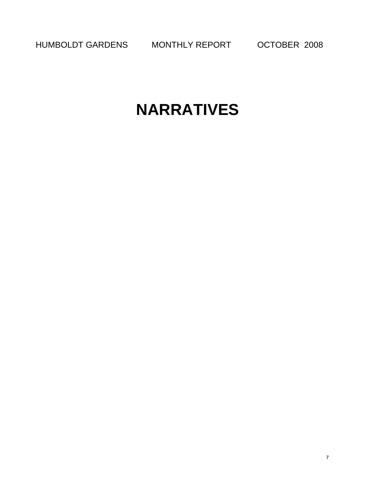HUMBOLDT GARDENS MONTHLY REPORT OCTOBER 2008

# **NARRATIVES**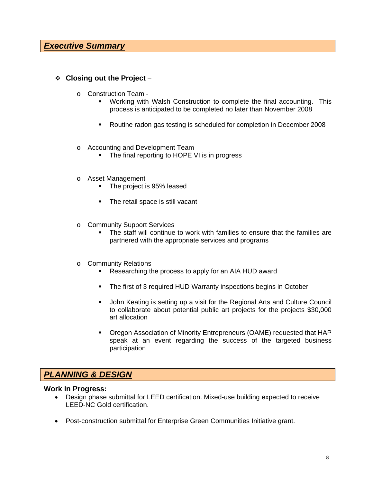#### **Closing out the Project** –

- o Construction Team
	- Working with Walsh Construction to complete the final accounting. This process is anticipated to be completed no later than November 2008
	- Routine radon gas testing is scheduled for completion in December 2008
- o Accounting and Development Team
	- The final reporting to HOPE VI is in progress
- o Asset Management
	- The project is 95% leased
	- The retail space is still vacant
- o Community Support Services
	- The staff will continue to work with families to ensure that the families are partnered with the appropriate services and programs
- o Community Relations
	- **Researching the process to apply for an AIA HUD award**
	- The first of 3 required HUD Warranty inspections begins in October
	- **John Keating is setting up a visit for the Regional Arts and Culture Council** to collaborate about potential public art projects for the projects \$30,000 art allocation
	- Oregon Association of Minority Entrepreneurs (OAME) requested that HAP speak at an event regarding the success of the targeted business participation

### *PLANNING & DESIGN*

#### **Work In Progress:**

- Design phase submittal for LEED certification. Mixed-use building expected to receive LEED-NC Gold certification.
- Post-construction submittal for Enterprise Green Communities Initiative grant.